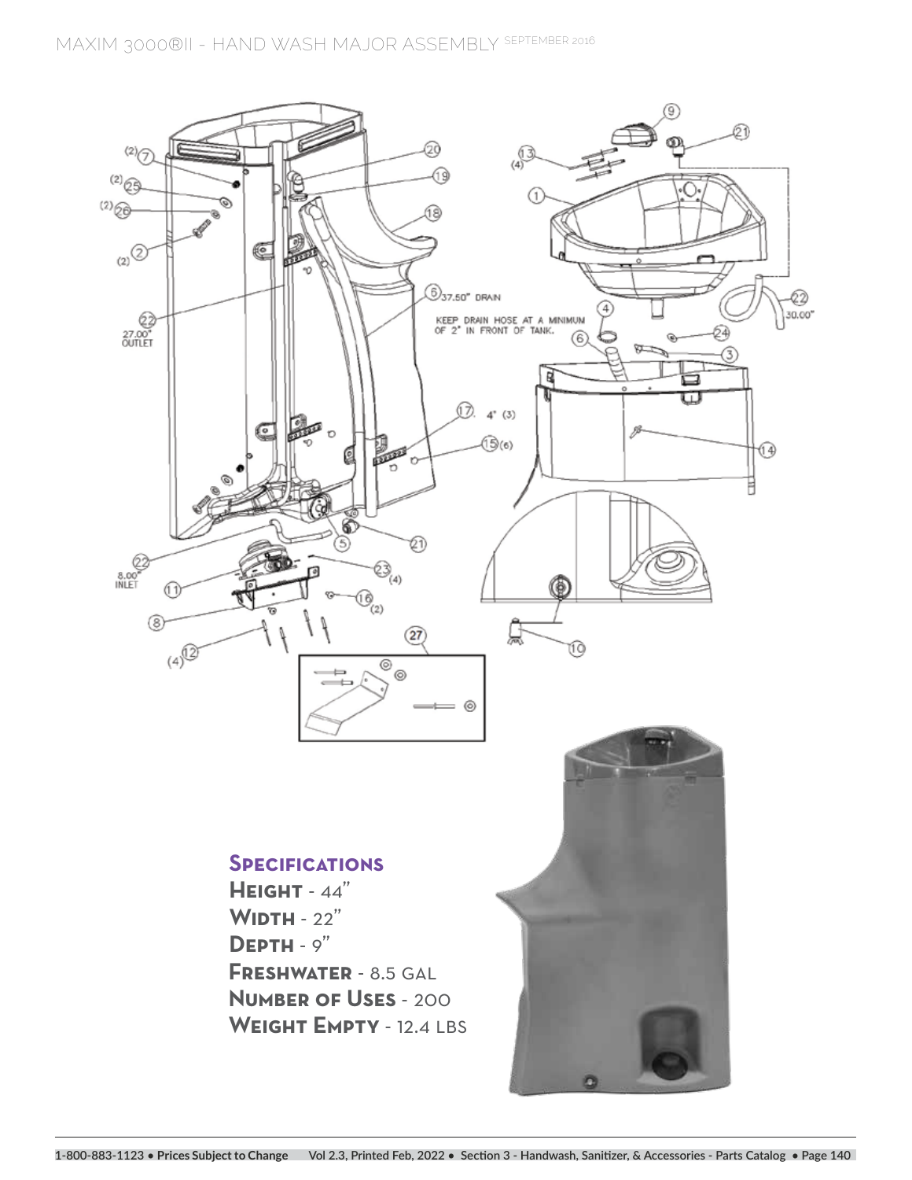